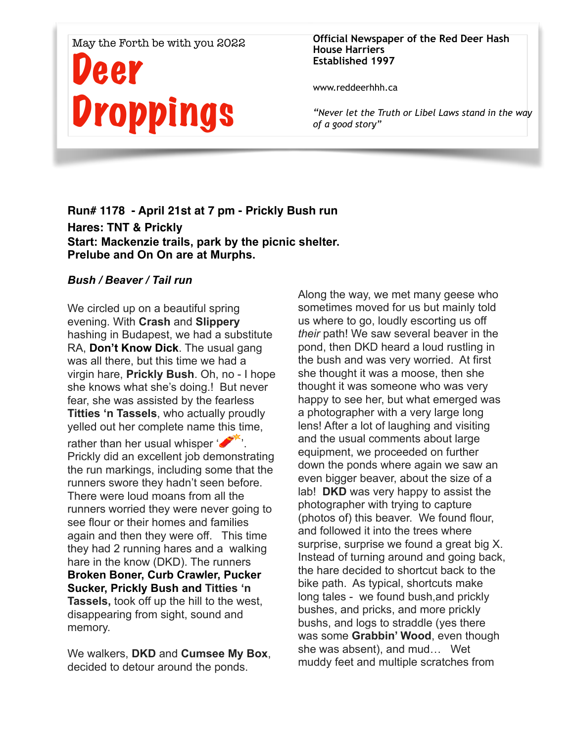#### May the Forth be with you 2022

# Deer Droppings

#### **Official Newspaper of the Red Deer Hash House Harriers Established 1997**

www.reddeerhhh.ca

*"Never let the Truth or Libel Laws stand in the way of a good story"*

# **Run# 1178 - April 21st at 7 pm - Prickly Bush run Hares: TNT & Prickly Start: Mackenzie trails, park by the picnic shelter. Prelube and On On are at Murphs.**

#### *Bush / Beaver / Tail run*

We circled up on a beautiful spring evening. With **Crash** and **Slippery** hashing in Budapest, we had a substitute RA, **Don't Know Dick**. The usual gang was all there, but this time we had a virgin hare, **Prickly Bush**. Oh, no - I hope she knows what she's doing.! But never fear, she was assisted by the fearless **Titties 'n Tassels**, who actually proudly yelled out her complete name this time,

rather than her usual whisper  $\mathcal{L}$ . Prickly did an excellent job demonstrating the run markings, including some that the runners swore they hadn't seen before. There were loud moans from all the runners worried they were never going to see flour or their homes and families again and then they were off. This time they had 2 running hares and a walking hare in the know (DKD). The runners **Broken Boner, Curb Crawler, Pucker Sucker, Prickly Bush and Titties 'n Tassels,** took off up the hill to the west, disappearing from sight, sound and memory.

We walkers, **DKD** and **Cumsee My Box**, decided to detour around the ponds.

Along the way, we met many geese who sometimes moved for us but mainly told us where to go, loudly escorting us off *their* path! We saw several beaver in the pond, then DKD heard a loud rustling in the bush and was very worried. At first she thought it was a moose, then she thought it was someone who was very happy to see her, but what emerged was a photographer with a very large long lens! After a lot of laughing and visiting and the usual comments about large equipment, we proceeded on further down the ponds where again we saw an even bigger beaver, about the size of a lab! **DKD** was very happy to assist the photographer with trying to capture (photos of) this beaver. We found flour, and followed it into the trees where surprise, surprise we found a great big X. Instead of turning around and going back, the hare decided to shortcut back to the bike path. As typical, shortcuts make long tales - we found bush,and prickly bushes, and pricks, and more prickly bushs, and logs to straddle (yes there was some **Grabbin' Wood**, even though she was absent), and mud… Wet muddy feet and multiple scratches from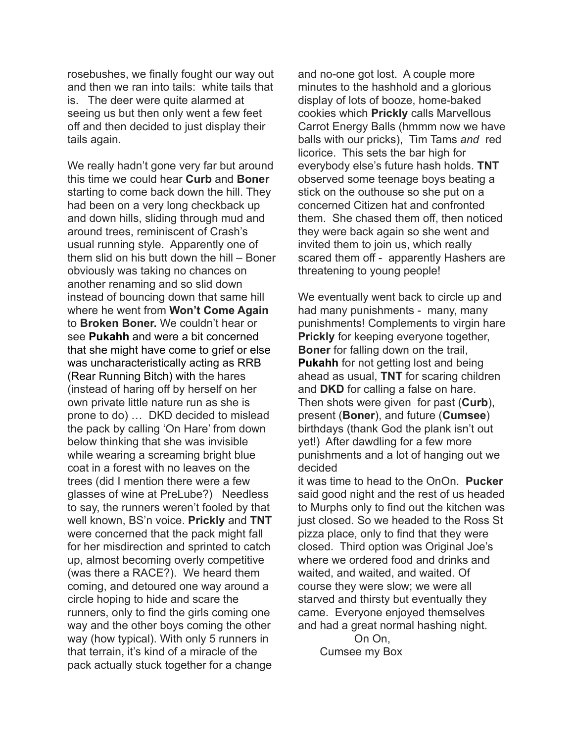rosebushes, we finally fought our way out and then we ran into tails: white tails that is. The deer were quite alarmed at seeing us but then only went a few feet off and then decided to just display their tails again.

We really hadn't gone very far but around this time we could hear **Curb** and **Boner** starting to come back down the hill. They had been on a very long checkback up and down hills, sliding through mud and around trees, reminiscent of Crash's usual running style. Apparently one of them slid on his butt down the hill – Boner obviously was taking no chances on another renaming and so slid down instead of bouncing down that same hill where he went from **Won't Come Again**  to **Broken Boner.** We couldn't hear or see **Pukahh** and were a bit concerned that she might have come to grief or else was uncharacteristically acting as RRB (Rear Running Bitch) with the hares (instead of haring off by herself on her own private little nature run as she is prone to do) … DKD decided to mislead the pack by calling 'On Hare' from down below thinking that she was invisible while wearing a screaming bright blue coat in a forest with no leaves on the trees (did I mention there were a few glasses of wine at PreLube?) Needless to say, the runners weren't fooled by that well known, BS'n voice. **Prickly** and **TNT** were concerned that the pack might fall for her misdirection and sprinted to catch up, almost becoming overly competitive (was there a RACE?). We heard them coming, and detoured one way around a circle hoping to hide and scare the runners, only to find the girls coming one way and the other boys coming the other way (how typical). With only 5 runners in that terrain, it's kind of a miracle of the pack actually stuck together for a change

and no-one got lost. A couple more minutes to the hashhold and a glorious display of lots of booze, home-baked cookies which **Prickly** calls Marvellous Carrot Energy Balls (hmmm now we have balls with our pricks), Tim Tams *and* red licorice. This sets the bar high for everybody else's future hash holds. **TNT** observed some teenage boys beating a stick on the outhouse so she put on a concerned Citizen hat and confronted them. She chased them off, then noticed they were back again so she went and invited them to join us, which really scared them off - apparently Hashers are threatening to young people!

We eventually went back to circle up and had many punishments - many, many punishments! Complements to virgin hare **Prickly** for keeping everyone together, **Boner** for falling down on the trail, **Pukahh** for not getting lost and being ahead as usual, **TNT** for scaring children and **DKD** for calling a false on hare. Then shots were given for past (**Curb**), present (**Boner**), and future (**Cumsee**) birthdays (thank God the plank isn't out yet!) After dawdling for a few more punishments and a lot of hanging out we decided

it was time to head to the OnOn. **Pucker** said good night and the rest of us headed to Murphs only to find out the kitchen was just closed. So we headed to the Ross St pizza place, only to find that they were closed. Third option was Original Joe's where we ordered food and drinks and waited, and waited, and waited. Of course they were slow; we were all starved and thirsty but eventually they came. Everyone enjoyed themselves and had a great normal hashing night.

 On On, Cumsee my Box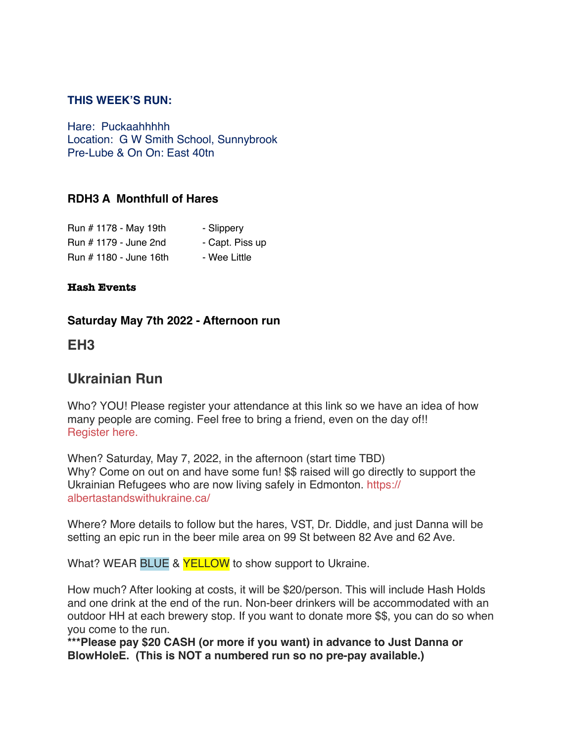#### **THIS WEEK'S RUN:**

Hare: Puckaahhhhh Location: G W Smith School, Sunnybrook Pre-Lube & On On: East 40tn

### **RDH3 A Monthfull of Hares**

| Run # 1178 - May 19th  | - Slippery      |
|------------------------|-----------------|
| Run # 1179 - June 2nd  | - Capt. Piss up |
| Run # 1180 - June 16th | - Wee Little    |

#### **Hash Events**

#### **Saturday May 7th 2022 - Afternoon run**

# **EH3**

# **Ukrainian Run**

Who? YOU! Please register your attendance at this link so we have an idea of how many people are coming. Feel free to bring a friend, even on the day of!! [Register here.](https://docs.google.com/forms/d/e/1FAIpQLScBgjeYecSwHXG1xYhUQHELBJui1mUWIiKgvJKvhIYn0R93BQ/viewform?usp=sf_link)

When? Saturday, May 7, 2022, in the afternoon (start time TBD) Why? Come on out on and have some fun! \$\$ raised will go directly to support the Ukrainian Refugees who are now living safely in Edmonton. [https://](https://albertastandswithukraine.ca/) [albertastandswithukraine.ca/](https://albertastandswithukraine.ca/)

Where? More details to follow but the hares, VST, Dr. Diddle, and just Danna will be setting an epic run in the beer mile area on 99 St between 82 Ave and 62 Ave.

What? WEAR BLUE & **YELLOW** to show support to Ukraine.

How much? After looking at costs, it will be \$20/person. This will include Hash Holds and one drink at the end of the run. Non-beer drinkers will be accommodated with an outdoor HH at each brewery stop. If you want to donate more \$\$, you can do so when you come to the run.

**\*\*\*Please pay \$20 CASH (or more if you want) in advance to Just Danna or BlowHoleE. (This is NOT a numbered run so no pre-pay available.)**